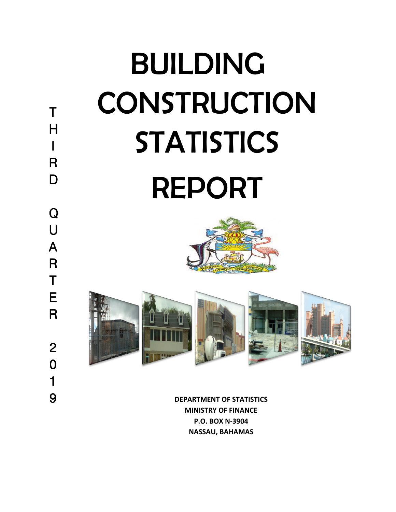

**DEPARTMENT OF STATISTICS MINISTRY OF FINANCE P.O. BOX N-3904 NASSAU, BAHAMAS**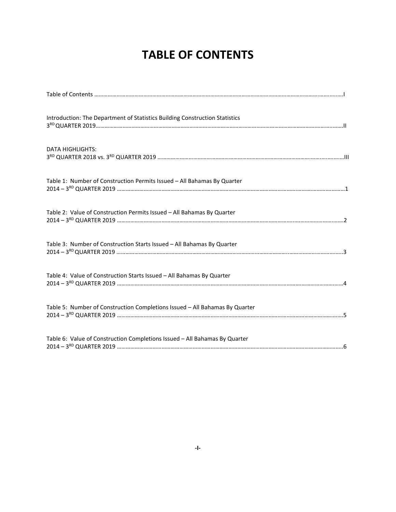# **TABLE OF CONTENTS**

| Introduction: The Department of Statistics Building Construction Statistics |
|-----------------------------------------------------------------------------|
| <b>DATA HIGHLIGHTS:</b>                                                     |
| Table 1: Number of Construction Permits Issued - All Bahamas By Quarter     |
| Table 2: Value of Construction Permits Issued - All Bahamas By Quarter      |
| Table 3: Number of Construction Starts Issued - All Bahamas By Quarter      |
| Table 4: Value of Construction Starts Issued - All Bahamas By Quarter       |
| Table 5: Number of Construction Completions Issued - All Bahamas By Quarter |
| Table 6: Value of Construction Completions Issued - All Bahamas By Quarter  |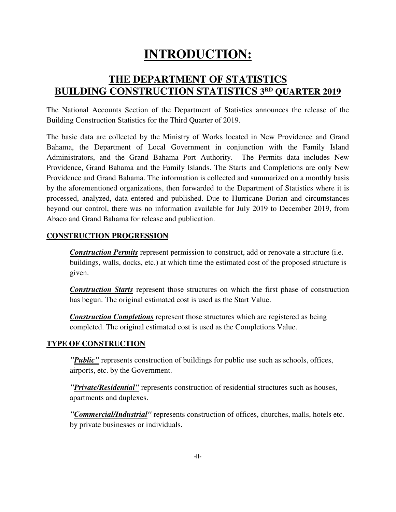# **INTRODUCTION:**

# **THE DEPARTMENT OF STATISTICS BUILDING CONSTRUCTION STATISTICS 3 RD QUARTER 2019**

The National Accounts Section of the Department of Statistics announces the release of the Building Construction Statistics for the Third Quarter of 2019.

The basic data are collected by the Ministry of Works located in New Providence and Grand Bahama, the Department of Local Government in conjunction with the Family Island Administrators, and the Grand Bahama Port Authority. The Permits data includes New Providence, Grand Bahama and the Family Islands. The Starts and Completions are only New Providence and Grand Bahama. The information is collected and summarized on a monthly basis by the aforementioned organizations, then forwarded to the Department of Statistics where it is processed, analyzed, data entered and published. Due to Hurricane Dorian and circumstances beyond our control, there was no information available for July 2019 to December 2019, from Abaco and Grand Bahama for release and publication.

## **CONSTRUCTION PROGRESSION**

**Construction Permits** represent permission to construct, add or renovate a structure (i.e. buildings, walls, docks, etc.) at which time the estimated cost of the proposed structure is given.

*Construction Starts* represent those structures on which the first phase of construction has begun. The original estimated cost is used as the Start Value.

*Construction Completions* represent those structures which are registered as being completed. The original estimated cost is used as the Completions Value.

# **TYPE OF CONSTRUCTION**

*"Public"* represents construction of buildings for public use such as schools, offices, airports, etc. by the Government.

*"Private/Residential"* represents construction of residential structures such as houses, apartments and duplexes.

*"Commercial/Industrial"* represents construction of offices, churches, malls, hotels etc. by private businesses or individuals.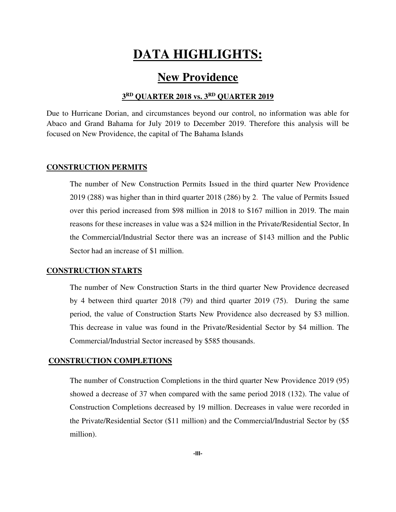# **DATA HIGHLIGHTS:**

# **New Providence**

## **3 RD QUARTER 2018 vs. 3RD QUARTER 2019**

Due to Hurricane Dorian, and circumstances beyond our control, no information was able for Abaco and Grand Bahama for July 2019 to December 2019. Therefore this analysis will be focused on New Providence, the capital of The Bahama Islands

#### **CONSTRUCTION PERMITS**

The number of New Construction Permits Issued in the third quarter New Providence 2019 (288) was higher than in third quarter 2018 (286) by 2. The value of Permits Issued over this period increased from \$98 million in 2018 to \$167 million in 2019. The main reasons for these increases in value was a \$24 million in the Private/Residential Sector, In the Commercial/Industrial Sector there was an increase of \$143 million and the Public Sector had an increase of \$1 million.

### **CONSTRUCTION STARTS**

The number of New Construction Starts in the third quarter New Providence decreased by 4 between third quarter 2018 (79) and third quarter 2019 (75). During the same period, the value of Construction Starts New Providence also decreased by \$3 million. This decrease in value was found in the Private/Residential Sector by \$4 million. The Commercial/Industrial Sector increased by \$585 thousands.

### **CONSTRUCTION COMPLETIONS**

The number of Construction Completions in the third quarter New Providence 2019 (95) showed a decrease of 37 when compared with the same period 2018 (132). The value of Construction Completions decreased by 19 million. Decreases in value were recorded in the Private/Residential Sector (\$11 million) and the Commercial/Industrial Sector by (\$5 million).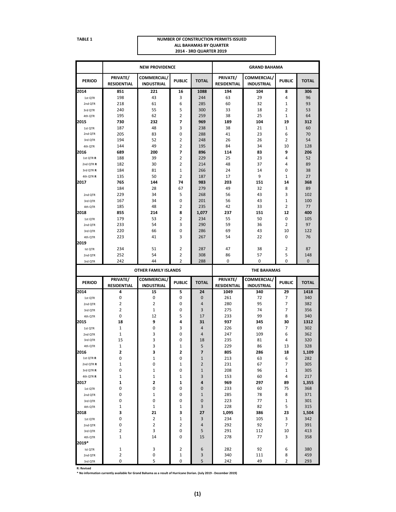#### **TABLE 1 NUMBER OF CONSTRUCTION PERMITS ISSUED ALL BAHAMAS BY QUARTER 2014 - 3RD QUARTER 2019**

| PRIVATE/<br>COMMERCIAL/<br>PRIVATE/<br>COMMERCIAL/<br><b>PUBLIC</b><br><b>TOTAL</b><br><b>PUBLIC</b><br><b>TOTAL</b><br><b>PERIOD</b><br><b>INDUSTRIAL</b><br><b>RESIDENTIAL</b><br><b>INDUSTRIAL</b><br>RESIDENTIAL<br>1088<br>306<br>221<br>194<br>104<br>851<br>16<br>8<br>3<br>29<br>4<br>96<br>198<br>43<br>244<br>63<br>1st QTR<br>6<br>93<br>218<br>61<br>285<br>60<br>32<br>1<br>2nd QTR<br>5<br>$\overline{2}$<br>53<br>240<br>55<br>300<br>33<br>18<br>3rd QTR<br>2<br>25<br>195<br>62<br>259<br>38<br>1<br>64<br>4th QTR<br>7<br>2015<br>730<br>232<br>969<br>189<br>104<br>19<br>312<br>3<br>187<br>48<br>238<br>38<br>21<br>1<br>60<br>1st QTR<br>6<br>2nd QTR<br>205<br>83<br>0<br>288<br>41<br>23<br>70<br>2<br>2<br>3rd QTR<br>194<br>52<br>248<br>26<br>26<br>54<br>49<br>2<br>195<br>34<br>10<br>128<br>144<br>84<br>4th QTR<br>7<br>9<br>2016<br>689<br>200<br>896<br>114<br>83<br>206<br>2<br>1st QTR R<br>188<br>39<br>229<br>25<br>23<br>4<br>52<br>2<br>89<br>2nd QTR R<br>182<br>30<br>214<br>48<br>37<br>4<br>1<br>38<br>184<br>81<br>266<br>24<br>14<br>0<br>3rd QTR R<br>$\overline{2}$<br>9<br>$\mathbf{1}$<br>27<br>50<br>187<br>4th QTR R<br>135<br>17<br>368<br>765<br>144<br>74<br>983<br>203<br>151<br>14<br>89<br>184<br>28<br>67<br>279<br>49<br>32<br>8<br>43<br>3<br>229<br>34<br>5<br>268<br>56<br>102<br>2nd QTR<br>$\mathbf{1}$<br>34<br>0<br>201<br>56<br>43<br>100<br>167<br>3rd QTR<br>2<br>2<br>185<br>48<br>235<br>42<br>33<br>77<br>4th QTR<br>400<br>855<br>214<br>8<br>1,077<br>237<br>151<br>12<br>2<br>179<br>53<br>234<br>55<br>50<br>0<br>105<br>1st QTR<br>3<br>290<br>59<br>2<br>97<br>233<br>54<br>36<br>2nd OTR<br>0<br>122<br>220<br>66<br>286<br>69<br>43<br>10<br>3rd QTR<br>3<br>223<br>41<br>267<br>54<br>22<br>0<br>76<br>4th QTR<br>2<br>234<br>51<br>2<br>287<br>47<br>38<br>87<br>Ist QTR<br>252<br>54<br>2<br>308<br>86<br>57<br>5<br>148<br>2nd QTR<br>$\overline{2}$<br>$\mathbf 0$<br>242<br>44<br>288<br>0<br>0<br>$\mathbf 0$<br>3rd QTR<br><b>OTHER FAMILY ISLANDS</b><br><b>THE BAHAMAS</b><br>PRIVATE/<br>COMMERCIAL/<br>PRIVATE/<br>COMMERCIAL/<br><b>PUBLIC</b><br><b>TOTAL</b><br><b>PUBLIC</b><br><b>TOTAL</b><br><b>PERIOD</b><br><b>RESIDENTIAL</b><br><b>INDUSTRIAL</b><br><b>RESIDENTIAL</b><br><b>INDUSTRIAL</b><br>4<br>15<br>24<br>340<br>29<br>1418<br>5<br>1049<br>$\pmb{0}$<br>0<br>7<br>0<br>$\bf{0}$<br>261<br>72<br>340<br>1st QTR<br>$\overline{2}$<br>2<br>$\overline{7}$<br>382<br>0<br>4<br>280<br>95<br>2nd QTR<br>$\overline{2}$<br>7<br>1<br>0<br>3<br>275<br>74<br>356<br>3rd QTR<br>0<br>5<br>8<br>340<br>12<br>17<br>233<br>99<br>4th QTR<br>9<br>18<br>4<br>31<br>937<br>345<br>30<br>1312<br>1<br>0<br>3<br>4<br>226<br>69<br>7<br>302<br>1st QTR<br>1<br>3<br>0<br>4<br>247<br>109<br>6<br>362<br>2nd QTR<br>3<br>15<br>0<br>235<br>81<br>320<br>18<br>4<br>3rd QTR<br>$1\,$<br>3<br>1<br>5<br>13<br>328<br>229<br>86<br>4th QTR<br>2016<br>2<br>3<br>2<br>7<br>805<br>286<br>18<br>1,109<br>0<br>$\mathbf 1$<br>$\mathbf 1$<br>6<br>1st QTR R<br>0<br>213<br>63<br>282<br>$\mathbf 1$<br>0<br>1<br>$\overline{2}$<br>231<br>7<br>305<br>67<br>2nd QTR R<br>0<br>$\mathbf 1$<br>$\mathbf 1$<br>208<br>96<br>$\mathbf{1}$<br>305<br>3rd QTR R<br>0<br>$\mathbf 1$<br>$\mathbf 1$<br>153<br>217<br>4th QTR R<br>1<br>3<br>60<br>4<br>2<br>1<br>969<br>297<br>1,355<br>1<br>4<br>89<br>0<br>233<br>368<br>0<br>0<br>0<br>60<br>75<br>1st QTR<br>0<br>$\mathbf 1$<br>78<br>0<br>$\mathbf{1}$<br>285<br>8<br>371<br>2nd QTR<br>0<br>0<br>223<br>77<br>301<br>0<br>0<br>1<br>3rd QTR<br>$\mathbf 1$<br>$\mathbf 1$<br>3<br>228<br>82<br>5<br>315<br>1<br>4th QTR<br>3<br>21<br>3<br>27<br>1,095<br>23<br>1,504<br>386<br>0<br>$\overline{\mathbf{c}}$<br>3<br>234<br>342<br>1<br>105<br>3<br>1st QTR<br>$\mathbf 2$<br>0<br>2<br>292<br>92<br>7<br>391<br>4<br>2nd QTR<br>$\mathbf 2$<br>3<br>291<br>112<br>413<br>0<br>5<br>10<br>3rd QTR<br>$\mathbf{1}$<br>14<br>278<br>3<br>358<br>0<br>15<br>77<br>4th QTR<br>$\mathbf{1}$<br>3<br>2<br>6<br>282<br>92<br>6<br>380<br>Ist QTR<br>$\mathbf 2$<br>340<br>459<br>0<br>1<br>3<br>111<br>8<br>2nd QTR<br>$\mathbf 0$<br>5<br>0<br>5<br>242<br>49<br>2<br>293<br>3rd QTR |       | <b>NEW PROVIDENCE</b> |  | <b>GRAND BAHAMA</b> |  |  |  |  |
|---------------------------------------------------------------------------------------------------------------------------------------------------------------------------------------------------------------------------------------------------------------------------------------------------------------------------------------------------------------------------------------------------------------------------------------------------------------------------------------------------------------------------------------------------------------------------------------------------------------------------------------------------------------------------------------------------------------------------------------------------------------------------------------------------------------------------------------------------------------------------------------------------------------------------------------------------------------------------------------------------------------------------------------------------------------------------------------------------------------------------------------------------------------------------------------------------------------------------------------------------------------------------------------------------------------------------------------------------------------------------------------------------------------------------------------------------------------------------------------------------------------------------------------------------------------------------------------------------------------------------------------------------------------------------------------------------------------------------------------------------------------------------------------------------------------------------------------------------------------------------------------------------------------------------------------------------------------------------------------------------------------------------------------------------------------------------------------------------------------------------------------------------------------------------------------------------------------------------------------------------------------------------------------------------------------------------------------------------------------------------------------------------------------------------------------------------------------------------------------------------------------------------------------------------------------------------------------------------------------------------------------------------------------------------------------------------------------------------------------------------------------------------------------------------------------------------------------------------------------------------------------------------------------------------------------------------------------------------------------------------------------------------------------------------------------------------------------------------------------------------------------------------------------------------------------------------------------------------------------------------------------------------------------------------------------------------------------------------------------------------------------------------------------------------------------------------------------------------------------------------------------------------------------------------------------------------------------------------------------------------------------------------------------------------------------------------------------------------------------------------------------------------------------------------------------------------------------------------------------------------------------------------------------------------------------------------------------------------------------------------------------------------------------------------------------------------------------------------------------------------------------------------------------------------------------------------------------------------|-------|-----------------------|--|---------------------|--|--|--|--|
|                                                                                                                                                                                                                                                                                                                                                                                                                                                                                                                                                                                                                                                                                                                                                                                                                                                                                                                                                                                                                                                                                                                                                                                                                                                                                                                                                                                                                                                                                                                                                                                                                                                                                                                                                                                                                                                                                                                                                                                                                                                                                                                                                                                                                                                                                                                                                                                                                                                                                                                                                                                                                                                                                                                                                                                                                                                                                                                                                                                                                                                                                                                                                                                                                                                                                                                                                                                                                                                                                                                                                                                                                                                                                                                                                                                                                                                                                                                                                                                                                                                                                                                                                                                                                           |       |                       |  |                     |  |  |  |  |
|                                                                                                                                                                                                                                                                                                                                                                                                                                                                                                                                                                                                                                                                                                                                                                                                                                                                                                                                                                                                                                                                                                                                                                                                                                                                                                                                                                                                                                                                                                                                                                                                                                                                                                                                                                                                                                                                                                                                                                                                                                                                                                                                                                                                                                                                                                                                                                                                                                                                                                                                                                                                                                                                                                                                                                                                                                                                                                                                                                                                                                                                                                                                                                                                                                                                                                                                                                                                                                                                                                                                                                                                                                                                                                                                                                                                                                                                                                                                                                                                                                                                                                                                                                                                                           | 2014  |                       |  |                     |  |  |  |  |
|                                                                                                                                                                                                                                                                                                                                                                                                                                                                                                                                                                                                                                                                                                                                                                                                                                                                                                                                                                                                                                                                                                                                                                                                                                                                                                                                                                                                                                                                                                                                                                                                                                                                                                                                                                                                                                                                                                                                                                                                                                                                                                                                                                                                                                                                                                                                                                                                                                                                                                                                                                                                                                                                                                                                                                                                                                                                                                                                                                                                                                                                                                                                                                                                                                                                                                                                                                                                                                                                                                                                                                                                                                                                                                                                                                                                                                                                                                                                                                                                                                                                                                                                                                                                                           |       |                       |  |                     |  |  |  |  |
|                                                                                                                                                                                                                                                                                                                                                                                                                                                                                                                                                                                                                                                                                                                                                                                                                                                                                                                                                                                                                                                                                                                                                                                                                                                                                                                                                                                                                                                                                                                                                                                                                                                                                                                                                                                                                                                                                                                                                                                                                                                                                                                                                                                                                                                                                                                                                                                                                                                                                                                                                                                                                                                                                                                                                                                                                                                                                                                                                                                                                                                                                                                                                                                                                                                                                                                                                                                                                                                                                                                                                                                                                                                                                                                                                                                                                                                                                                                                                                                                                                                                                                                                                                                                                           |       |                       |  |                     |  |  |  |  |
|                                                                                                                                                                                                                                                                                                                                                                                                                                                                                                                                                                                                                                                                                                                                                                                                                                                                                                                                                                                                                                                                                                                                                                                                                                                                                                                                                                                                                                                                                                                                                                                                                                                                                                                                                                                                                                                                                                                                                                                                                                                                                                                                                                                                                                                                                                                                                                                                                                                                                                                                                                                                                                                                                                                                                                                                                                                                                                                                                                                                                                                                                                                                                                                                                                                                                                                                                                                                                                                                                                                                                                                                                                                                                                                                                                                                                                                                                                                                                                                                                                                                                                                                                                                                                           |       |                       |  |                     |  |  |  |  |
|                                                                                                                                                                                                                                                                                                                                                                                                                                                                                                                                                                                                                                                                                                                                                                                                                                                                                                                                                                                                                                                                                                                                                                                                                                                                                                                                                                                                                                                                                                                                                                                                                                                                                                                                                                                                                                                                                                                                                                                                                                                                                                                                                                                                                                                                                                                                                                                                                                                                                                                                                                                                                                                                                                                                                                                                                                                                                                                                                                                                                                                                                                                                                                                                                                                                                                                                                                                                                                                                                                                                                                                                                                                                                                                                                                                                                                                                                                                                                                                                                                                                                                                                                                                                                           |       |                       |  |                     |  |  |  |  |
|                                                                                                                                                                                                                                                                                                                                                                                                                                                                                                                                                                                                                                                                                                                                                                                                                                                                                                                                                                                                                                                                                                                                                                                                                                                                                                                                                                                                                                                                                                                                                                                                                                                                                                                                                                                                                                                                                                                                                                                                                                                                                                                                                                                                                                                                                                                                                                                                                                                                                                                                                                                                                                                                                                                                                                                                                                                                                                                                                                                                                                                                                                                                                                                                                                                                                                                                                                                                                                                                                                                                                                                                                                                                                                                                                                                                                                                                                                                                                                                                                                                                                                                                                                                                                           |       |                       |  |                     |  |  |  |  |
|                                                                                                                                                                                                                                                                                                                                                                                                                                                                                                                                                                                                                                                                                                                                                                                                                                                                                                                                                                                                                                                                                                                                                                                                                                                                                                                                                                                                                                                                                                                                                                                                                                                                                                                                                                                                                                                                                                                                                                                                                                                                                                                                                                                                                                                                                                                                                                                                                                                                                                                                                                                                                                                                                                                                                                                                                                                                                                                                                                                                                                                                                                                                                                                                                                                                                                                                                                                                                                                                                                                                                                                                                                                                                                                                                                                                                                                                                                                                                                                                                                                                                                                                                                                                                           |       |                       |  |                     |  |  |  |  |
|                                                                                                                                                                                                                                                                                                                                                                                                                                                                                                                                                                                                                                                                                                                                                                                                                                                                                                                                                                                                                                                                                                                                                                                                                                                                                                                                                                                                                                                                                                                                                                                                                                                                                                                                                                                                                                                                                                                                                                                                                                                                                                                                                                                                                                                                                                                                                                                                                                                                                                                                                                                                                                                                                                                                                                                                                                                                                                                                                                                                                                                                                                                                                                                                                                                                                                                                                                                                                                                                                                                                                                                                                                                                                                                                                                                                                                                                                                                                                                                                                                                                                                                                                                                                                           |       |                       |  |                     |  |  |  |  |
|                                                                                                                                                                                                                                                                                                                                                                                                                                                                                                                                                                                                                                                                                                                                                                                                                                                                                                                                                                                                                                                                                                                                                                                                                                                                                                                                                                                                                                                                                                                                                                                                                                                                                                                                                                                                                                                                                                                                                                                                                                                                                                                                                                                                                                                                                                                                                                                                                                                                                                                                                                                                                                                                                                                                                                                                                                                                                                                                                                                                                                                                                                                                                                                                                                                                                                                                                                                                                                                                                                                                                                                                                                                                                                                                                                                                                                                                                                                                                                                                                                                                                                                                                                                                                           |       |                       |  |                     |  |  |  |  |
|                                                                                                                                                                                                                                                                                                                                                                                                                                                                                                                                                                                                                                                                                                                                                                                                                                                                                                                                                                                                                                                                                                                                                                                                                                                                                                                                                                                                                                                                                                                                                                                                                                                                                                                                                                                                                                                                                                                                                                                                                                                                                                                                                                                                                                                                                                                                                                                                                                                                                                                                                                                                                                                                                                                                                                                                                                                                                                                                                                                                                                                                                                                                                                                                                                                                                                                                                                                                                                                                                                                                                                                                                                                                                                                                                                                                                                                                                                                                                                                                                                                                                                                                                                                                                           |       |                       |  |                     |  |  |  |  |
|                                                                                                                                                                                                                                                                                                                                                                                                                                                                                                                                                                                                                                                                                                                                                                                                                                                                                                                                                                                                                                                                                                                                                                                                                                                                                                                                                                                                                                                                                                                                                                                                                                                                                                                                                                                                                                                                                                                                                                                                                                                                                                                                                                                                                                                                                                                                                                                                                                                                                                                                                                                                                                                                                                                                                                                                                                                                                                                                                                                                                                                                                                                                                                                                                                                                                                                                                                                                                                                                                                                                                                                                                                                                                                                                                                                                                                                                                                                                                                                                                                                                                                                                                                                                                           |       |                       |  |                     |  |  |  |  |
|                                                                                                                                                                                                                                                                                                                                                                                                                                                                                                                                                                                                                                                                                                                                                                                                                                                                                                                                                                                                                                                                                                                                                                                                                                                                                                                                                                                                                                                                                                                                                                                                                                                                                                                                                                                                                                                                                                                                                                                                                                                                                                                                                                                                                                                                                                                                                                                                                                                                                                                                                                                                                                                                                                                                                                                                                                                                                                                                                                                                                                                                                                                                                                                                                                                                                                                                                                                                                                                                                                                                                                                                                                                                                                                                                                                                                                                                                                                                                                                                                                                                                                                                                                                                                           |       |                       |  |                     |  |  |  |  |
|                                                                                                                                                                                                                                                                                                                                                                                                                                                                                                                                                                                                                                                                                                                                                                                                                                                                                                                                                                                                                                                                                                                                                                                                                                                                                                                                                                                                                                                                                                                                                                                                                                                                                                                                                                                                                                                                                                                                                                                                                                                                                                                                                                                                                                                                                                                                                                                                                                                                                                                                                                                                                                                                                                                                                                                                                                                                                                                                                                                                                                                                                                                                                                                                                                                                                                                                                                                                                                                                                                                                                                                                                                                                                                                                                                                                                                                                                                                                                                                                                                                                                                                                                                                                                           |       |                       |  |                     |  |  |  |  |
|                                                                                                                                                                                                                                                                                                                                                                                                                                                                                                                                                                                                                                                                                                                                                                                                                                                                                                                                                                                                                                                                                                                                                                                                                                                                                                                                                                                                                                                                                                                                                                                                                                                                                                                                                                                                                                                                                                                                                                                                                                                                                                                                                                                                                                                                                                                                                                                                                                                                                                                                                                                                                                                                                                                                                                                                                                                                                                                                                                                                                                                                                                                                                                                                                                                                                                                                                                                                                                                                                                                                                                                                                                                                                                                                                                                                                                                                                                                                                                                                                                                                                                                                                                                                                           |       |                       |  |                     |  |  |  |  |
|                                                                                                                                                                                                                                                                                                                                                                                                                                                                                                                                                                                                                                                                                                                                                                                                                                                                                                                                                                                                                                                                                                                                                                                                                                                                                                                                                                                                                                                                                                                                                                                                                                                                                                                                                                                                                                                                                                                                                                                                                                                                                                                                                                                                                                                                                                                                                                                                                                                                                                                                                                                                                                                                                                                                                                                                                                                                                                                                                                                                                                                                                                                                                                                                                                                                                                                                                                                                                                                                                                                                                                                                                                                                                                                                                                                                                                                                                                                                                                                                                                                                                                                                                                                                                           | 2017  |                       |  |                     |  |  |  |  |
|                                                                                                                                                                                                                                                                                                                                                                                                                                                                                                                                                                                                                                                                                                                                                                                                                                                                                                                                                                                                                                                                                                                                                                                                                                                                                                                                                                                                                                                                                                                                                                                                                                                                                                                                                                                                                                                                                                                                                                                                                                                                                                                                                                                                                                                                                                                                                                                                                                                                                                                                                                                                                                                                                                                                                                                                                                                                                                                                                                                                                                                                                                                                                                                                                                                                                                                                                                                                                                                                                                                                                                                                                                                                                                                                                                                                                                                                                                                                                                                                                                                                                                                                                                                                                           |       |                       |  |                     |  |  |  |  |
|                                                                                                                                                                                                                                                                                                                                                                                                                                                                                                                                                                                                                                                                                                                                                                                                                                                                                                                                                                                                                                                                                                                                                                                                                                                                                                                                                                                                                                                                                                                                                                                                                                                                                                                                                                                                                                                                                                                                                                                                                                                                                                                                                                                                                                                                                                                                                                                                                                                                                                                                                                                                                                                                                                                                                                                                                                                                                                                                                                                                                                                                                                                                                                                                                                                                                                                                                                                                                                                                                                                                                                                                                                                                                                                                                                                                                                                                                                                                                                                                                                                                                                                                                                                                                           |       |                       |  |                     |  |  |  |  |
|                                                                                                                                                                                                                                                                                                                                                                                                                                                                                                                                                                                                                                                                                                                                                                                                                                                                                                                                                                                                                                                                                                                                                                                                                                                                                                                                                                                                                                                                                                                                                                                                                                                                                                                                                                                                                                                                                                                                                                                                                                                                                                                                                                                                                                                                                                                                                                                                                                                                                                                                                                                                                                                                                                                                                                                                                                                                                                                                                                                                                                                                                                                                                                                                                                                                                                                                                                                                                                                                                                                                                                                                                                                                                                                                                                                                                                                                                                                                                                                                                                                                                                                                                                                                                           |       |                       |  |                     |  |  |  |  |
|                                                                                                                                                                                                                                                                                                                                                                                                                                                                                                                                                                                                                                                                                                                                                                                                                                                                                                                                                                                                                                                                                                                                                                                                                                                                                                                                                                                                                                                                                                                                                                                                                                                                                                                                                                                                                                                                                                                                                                                                                                                                                                                                                                                                                                                                                                                                                                                                                                                                                                                                                                                                                                                                                                                                                                                                                                                                                                                                                                                                                                                                                                                                                                                                                                                                                                                                                                                                                                                                                                                                                                                                                                                                                                                                                                                                                                                                                                                                                                                                                                                                                                                                                                                                                           |       |                       |  |                     |  |  |  |  |
|                                                                                                                                                                                                                                                                                                                                                                                                                                                                                                                                                                                                                                                                                                                                                                                                                                                                                                                                                                                                                                                                                                                                                                                                                                                                                                                                                                                                                                                                                                                                                                                                                                                                                                                                                                                                                                                                                                                                                                                                                                                                                                                                                                                                                                                                                                                                                                                                                                                                                                                                                                                                                                                                                                                                                                                                                                                                                                                                                                                                                                                                                                                                                                                                                                                                                                                                                                                                                                                                                                                                                                                                                                                                                                                                                                                                                                                                                                                                                                                                                                                                                                                                                                                                                           | 2018  |                       |  |                     |  |  |  |  |
|                                                                                                                                                                                                                                                                                                                                                                                                                                                                                                                                                                                                                                                                                                                                                                                                                                                                                                                                                                                                                                                                                                                                                                                                                                                                                                                                                                                                                                                                                                                                                                                                                                                                                                                                                                                                                                                                                                                                                                                                                                                                                                                                                                                                                                                                                                                                                                                                                                                                                                                                                                                                                                                                                                                                                                                                                                                                                                                                                                                                                                                                                                                                                                                                                                                                                                                                                                                                                                                                                                                                                                                                                                                                                                                                                                                                                                                                                                                                                                                                                                                                                                                                                                                                                           |       |                       |  |                     |  |  |  |  |
|                                                                                                                                                                                                                                                                                                                                                                                                                                                                                                                                                                                                                                                                                                                                                                                                                                                                                                                                                                                                                                                                                                                                                                                                                                                                                                                                                                                                                                                                                                                                                                                                                                                                                                                                                                                                                                                                                                                                                                                                                                                                                                                                                                                                                                                                                                                                                                                                                                                                                                                                                                                                                                                                                                                                                                                                                                                                                                                                                                                                                                                                                                                                                                                                                                                                                                                                                                                                                                                                                                                                                                                                                                                                                                                                                                                                                                                                                                                                                                                                                                                                                                                                                                                                                           |       |                       |  |                     |  |  |  |  |
|                                                                                                                                                                                                                                                                                                                                                                                                                                                                                                                                                                                                                                                                                                                                                                                                                                                                                                                                                                                                                                                                                                                                                                                                                                                                                                                                                                                                                                                                                                                                                                                                                                                                                                                                                                                                                                                                                                                                                                                                                                                                                                                                                                                                                                                                                                                                                                                                                                                                                                                                                                                                                                                                                                                                                                                                                                                                                                                                                                                                                                                                                                                                                                                                                                                                                                                                                                                                                                                                                                                                                                                                                                                                                                                                                                                                                                                                                                                                                                                                                                                                                                                                                                                                                           |       |                       |  |                     |  |  |  |  |
|                                                                                                                                                                                                                                                                                                                                                                                                                                                                                                                                                                                                                                                                                                                                                                                                                                                                                                                                                                                                                                                                                                                                                                                                                                                                                                                                                                                                                                                                                                                                                                                                                                                                                                                                                                                                                                                                                                                                                                                                                                                                                                                                                                                                                                                                                                                                                                                                                                                                                                                                                                                                                                                                                                                                                                                                                                                                                                                                                                                                                                                                                                                                                                                                                                                                                                                                                                                                                                                                                                                                                                                                                                                                                                                                                                                                                                                                                                                                                                                                                                                                                                                                                                                                                           |       |                       |  |                     |  |  |  |  |
|                                                                                                                                                                                                                                                                                                                                                                                                                                                                                                                                                                                                                                                                                                                                                                                                                                                                                                                                                                                                                                                                                                                                                                                                                                                                                                                                                                                                                                                                                                                                                                                                                                                                                                                                                                                                                                                                                                                                                                                                                                                                                                                                                                                                                                                                                                                                                                                                                                                                                                                                                                                                                                                                                                                                                                                                                                                                                                                                                                                                                                                                                                                                                                                                                                                                                                                                                                                                                                                                                                                                                                                                                                                                                                                                                                                                                                                                                                                                                                                                                                                                                                                                                                                                                           | 2019  |                       |  |                     |  |  |  |  |
|                                                                                                                                                                                                                                                                                                                                                                                                                                                                                                                                                                                                                                                                                                                                                                                                                                                                                                                                                                                                                                                                                                                                                                                                                                                                                                                                                                                                                                                                                                                                                                                                                                                                                                                                                                                                                                                                                                                                                                                                                                                                                                                                                                                                                                                                                                                                                                                                                                                                                                                                                                                                                                                                                                                                                                                                                                                                                                                                                                                                                                                                                                                                                                                                                                                                                                                                                                                                                                                                                                                                                                                                                                                                                                                                                                                                                                                                                                                                                                                                                                                                                                                                                                                                                           |       |                       |  |                     |  |  |  |  |
|                                                                                                                                                                                                                                                                                                                                                                                                                                                                                                                                                                                                                                                                                                                                                                                                                                                                                                                                                                                                                                                                                                                                                                                                                                                                                                                                                                                                                                                                                                                                                                                                                                                                                                                                                                                                                                                                                                                                                                                                                                                                                                                                                                                                                                                                                                                                                                                                                                                                                                                                                                                                                                                                                                                                                                                                                                                                                                                                                                                                                                                                                                                                                                                                                                                                                                                                                                                                                                                                                                                                                                                                                                                                                                                                                                                                                                                                                                                                                                                                                                                                                                                                                                                                                           |       |                       |  |                     |  |  |  |  |
|                                                                                                                                                                                                                                                                                                                                                                                                                                                                                                                                                                                                                                                                                                                                                                                                                                                                                                                                                                                                                                                                                                                                                                                                                                                                                                                                                                                                                                                                                                                                                                                                                                                                                                                                                                                                                                                                                                                                                                                                                                                                                                                                                                                                                                                                                                                                                                                                                                                                                                                                                                                                                                                                                                                                                                                                                                                                                                                                                                                                                                                                                                                                                                                                                                                                                                                                                                                                                                                                                                                                                                                                                                                                                                                                                                                                                                                                                                                                                                                                                                                                                                                                                                                                                           |       |                       |  |                     |  |  |  |  |
|                                                                                                                                                                                                                                                                                                                                                                                                                                                                                                                                                                                                                                                                                                                                                                                                                                                                                                                                                                                                                                                                                                                                                                                                                                                                                                                                                                                                                                                                                                                                                                                                                                                                                                                                                                                                                                                                                                                                                                                                                                                                                                                                                                                                                                                                                                                                                                                                                                                                                                                                                                                                                                                                                                                                                                                                                                                                                                                                                                                                                                                                                                                                                                                                                                                                                                                                                                                                                                                                                                                                                                                                                                                                                                                                                                                                                                                                                                                                                                                                                                                                                                                                                                                                                           |       |                       |  |                     |  |  |  |  |
|                                                                                                                                                                                                                                                                                                                                                                                                                                                                                                                                                                                                                                                                                                                                                                                                                                                                                                                                                                                                                                                                                                                                                                                                                                                                                                                                                                                                                                                                                                                                                                                                                                                                                                                                                                                                                                                                                                                                                                                                                                                                                                                                                                                                                                                                                                                                                                                                                                                                                                                                                                                                                                                                                                                                                                                                                                                                                                                                                                                                                                                                                                                                                                                                                                                                                                                                                                                                                                                                                                                                                                                                                                                                                                                                                                                                                                                                                                                                                                                                                                                                                                                                                                                                                           |       |                       |  |                     |  |  |  |  |
|                                                                                                                                                                                                                                                                                                                                                                                                                                                                                                                                                                                                                                                                                                                                                                                                                                                                                                                                                                                                                                                                                                                                                                                                                                                                                                                                                                                                                                                                                                                                                                                                                                                                                                                                                                                                                                                                                                                                                                                                                                                                                                                                                                                                                                                                                                                                                                                                                                                                                                                                                                                                                                                                                                                                                                                                                                                                                                                                                                                                                                                                                                                                                                                                                                                                                                                                                                                                                                                                                                                                                                                                                                                                                                                                                                                                                                                                                                                                                                                                                                                                                                                                                                                                                           |       |                       |  |                     |  |  |  |  |
|                                                                                                                                                                                                                                                                                                                                                                                                                                                                                                                                                                                                                                                                                                                                                                                                                                                                                                                                                                                                                                                                                                                                                                                                                                                                                                                                                                                                                                                                                                                                                                                                                                                                                                                                                                                                                                                                                                                                                                                                                                                                                                                                                                                                                                                                                                                                                                                                                                                                                                                                                                                                                                                                                                                                                                                                                                                                                                                                                                                                                                                                                                                                                                                                                                                                                                                                                                                                                                                                                                                                                                                                                                                                                                                                                                                                                                                                                                                                                                                                                                                                                                                                                                                                                           | 2014  |                       |  |                     |  |  |  |  |
|                                                                                                                                                                                                                                                                                                                                                                                                                                                                                                                                                                                                                                                                                                                                                                                                                                                                                                                                                                                                                                                                                                                                                                                                                                                                                                                                                                                                                                                                                                                                                                                                                                                                                                                                                                                                                                                                                                                                                                                                                                                                                                                                                                                                                                                                                                                                                                                                                                                                                                                                                                                                                                                                                                                                                                                                                                                                                                                                                                                                                                                                                                                                                                                                                                                                                                                                                                                                                                                                                                                                                                                                                                                                                                                                                                                                                                                                                                                                                                                                                                                                                                                                                                                                                           |       |                       |  |                     |  |  |  |  |
|                                                                                                                                                                                                                                                                                                                                                                                                                                                                                                                                                                                                                                                                                                                                                                                                                                                                                                                                                                                                                                                                                                                                                                                                                                                                                                                                                                                                                                                                                                                                                                                                                                                                                                                                                                                                                                                                                                                                                                                                                                                                                                                                                                                                                                                                                                                                                                                                                                                                                                                                                                                                                                                                                                                                                                                                                                                                                                                                                                                                                                                                                                                                                                                                                                                                                                                                                                                                                                                                                                                                                                                                                                                                                                                                                                                                                                                                                                                                                                                                                                                                                                                                                                                                                           |       |                       |  |                     |  |  |  |  |
|                                                                                                                                                                                                                                                                                                                                                                                                                                                                                                                                                                                                                                                                                                                                                                                                                                                                                                                                                                                                                                                                                                                                                                                                                                                                                                                                                                                                                                                                                                                                                                                                                                                                                                                                                                                                                                                                                                                                                                                                                                                                                                                                                                                                                                                                                                                                                                                                                                                                                                                                                                                                                                                                                                                                                                                                                                                                                                                                                                                                                                                                                                                                                                                                                                                                                                                                                                                                                                                                                                                                                                                                                                                                                                                                                                                                                                                                                                                                                                                                                                                                                                                                                                                                                           |       |                       |  |                     |  |  |  |  |
|                                                                                                                                                                                                                                                                                                                                                                                                                                                                                                                                                                                                                                                                                                                                                                                                                                                                                                                                                                                                                                                                                                                                                                                                                                                                                                                                                                                                                                                                                                                                                                                                                                                                                                                                                                                                                                                                                                                                                                                                                                                                                                                                                                                                                                                                                                                                                                                                                                                                                                                                                                                                                                                                                                                                                                                                                                                                                                                                                                                                                                                                                                                                                                                                                                                                                                                                                                                                                                                                                                                                                                                                                                                                                                                                                                                                                                                                                                                                                                                                                                                                                                                                                                                                                           |       |                       |  |                     |  |  |  |  |
|                                                                                                                                                                                                                                                                                                                                                                                                                                                                                                                                                                                                                                                                                                                                                                                                                                                                                                                                                                                                                                                                                                                                                                                                                                                                                                                                                                                                                                                                                                                                                                                                                                                                                                                                                                                                                                                                                                                                                                                                                                                                                                                                                                                                                                                                                                                                                                                                                                                                                                                                                                                                                                                                                                                                                                                                                                                                                                                                                                                                                                                                                                                                                                                                                                                                                                                                                                                                                                                                                                                                                                                                                                                                                                                                                                                                                                                                                                                                                                                                                                                                                                                                                                                                                           | 2015  |                       |  |                     |  |  |  |  |
|                                                                                                                                                                                                                                                                                                                                                                                                                                                                                                                                                                                                                                                                                                                                                                                                                                                                                                                                                                                                                                                                                                                                                                                                                                                                                                                                                                                                                                                                                                                                                                                                                                                                                                                                                                                                                                                                                                                                                                                                                                                                                                                                                                                                                                                                                                                                                                                                                                                                                                                                                                                                                                                                                                                                                                                                                                                                                                                                                                                                                                                                                                                                                                                                                                                                                                                                                                                                                                                                                                                                                                                                                                                                                                                                                                                                                                                                                                                                                                                                                                                                                                                                                                                                                           |       |                       |  |                     |  |  |  |  |
|                                                                                                                                                                                                                                                                                                                                                                                                                                                                                                                                                                                                                                                                                                                                                                                                                                                                                                                                                                                                                                                                                                                                                                                                                                                                                                                                                                                                                                                                                                                                                                                                                                                                                                                                                                                                                                                                                                                                                                                                                                                                                                                                                                                                                                                                                                                                                                                                                                                                                                                                                                                                                                                                                                                                                                                                                                                                                                                                                                                                                                                                                                                                                                                                                                                                                                                                                                                                                                                                                                                                                                                                                                                                                                                                                                                                                                                                                                                                                                                                                                                                                                                                                                                                                           |       |                       |  |                     |  |  |  |  |
|                                                                                                                                                                                                                                                                                                                                                                                                                                                                                                                                                                                                                                                                                                                                                                                                                                                                                                                                                                                                                                                                                                                                                                                                                                                                                                                                                                                                                                                                                                                                                                                                                                                                                                                                                                                                                                                                                                                                                                                                                                                                                                                                                                                                                                                                                                                                                                                                                                                                                                                                                                                                                                                                                                                                                                                                                                                                                                                                                                                                                                                                                                                                                                                                                                                                                                                                                                                                                                                                                                                                                                                                                                                                                                                                                                                                                                                                                                                                                                                                                                                                                                                                                                                                                           |       |                       |  |                     |  |  |  |  |
|                                                                                                                                                                                                                                                                                                                                                                                                                                                                                                                                                                                                                                                                                                                                                                                                                                                                                                                                                                                                                                                                                                                                                                                                                                                                                                                                                                                                                                                                                                                                                                                                                                                                                                                                                                                                                                                                                                                                                                                                                                                                                                                                                                                                                                                                                                                                                                                                                                                                                                                                                                                                                                                                                                                                                                                                                                                                                                                                                                                                                                                                                                                                                                                                                                                                                                                                                                                                                                                                                                                                                                                                                                                                                                                                                                                                                                                                                                                                                                                                                                                                                                                                                                                                                           |       |                       |  |                     |  |  |  |  |
|                                                                                                                                                                                                                                                                                                                                                                                                                                                                                                                                                                                                                                                                                                                                                                                                                                                                                                                                                                                                                                                                                                                                                                                                                                                                                                                                                                                                                                                                                                                                                                                                                                                                                                                                                                                                                                                                                                                                                                                                                                                                                                                                                                                                                                                                                                                                                                                                                                                                                                                                                                                                                                                                                                                                                                                                                                                                                                                                                                                                                                                                                                                                                                                                                                                                                                                                                                                                                                                                                                                                                                                                                                                                                                                                                                                                                                                                                                                                                                                                                                                                                                                                                                                                                           |       |                       |  |                     |  |  |  |  |
|                                                                                                                                                                                                                                                                                                                                                                                                                                                                                                                                                                                                                                                                                                                                                                                                                                                                                                                                                                                                                                                                                                                                                                                                                                                                                                                                                                                                                                                                                                                                                                                                                                                                                                                                                                                                                                                                                                                                                                                                                                                                                                                                                                                                                                                                                                                                                                                                                                                                                                                                                                                                                                                                                                                                                                                                                                                                                                                                                                                                                                                                                                                                                                                                                                                                                                                                                                                                                                                                                                                                                                                                                                                                                                                                                                                                                                                                                                                                                                                                                                                                                                                                                                                                                           |       |                       |  |                     |  |  |  |  |
|                                                                                                                                                                                                                                                                                                                                                                                                                                                                                                                                                                                                                                                                                                                                                                                                                                                                                                                                                                                                                                                                                                                                                                                                                                                                                                                                                                                                                                                                                                                                                                                                                                                                                                                                                                                                                                                                                                                                                                                                                                                                                                                                                                                                                                                                                                                                                                                                                                                                                                                                                                                                                                                                                                                                                                                                                                                                                                                                                                                                                                                                                                                                                                                                                                                                                                                                                                                                                                                                                                                                                                                                                                                                                                                                                                                                                                                                                                                                                                                                                                                                                                                                                                                                                           |       |                       |  |                     |  |  |  |  |
|                                                                                                                                                                                                                                                                                                                                                                                                                                                                                                                                                                                                                                                                                                                                                                                                                                                                                                                                                                                                                                                                                                                                                                                                                                                                                                                                                                                                                                                                                                                                                                                                                                                                                                                                                                                                                                                                                                                                                                                                                                                                                                                                                                                                                                                                                                                                                                                                                                                                                                                                                                                                                                                                                                                                                                                                                                                                                                                                                                                                                                                                                                                                                                                                                                                                                                                                                                                                                                                                                                                                                                                                                                                                                                                                                                                                                                                                                                                                                                                                                                                                                                                                                                                                                           |       |                       |  |                     |  |  |  |  |
|                                                                                                                                                                                                                                                                                                                                                                                                                                                                                                                                                                                                                                                                                                                                                                                                                                                                                                                                                                                                                                                                                                                                                                                                                                                                                                                                                                                                                                                                                                                                                                                                                                                                                                                                                                                                                                                                                                                                                                                                                                                                                                                                                                                                                                                                                                                                                                                                                                                                                                                                                                                                                                                                                                                                                                                                                                                                                                                                                                                                                                                                                                                                                                                                                                                                                                                                                                                                                                                                                                                                                                                                                                                                                                                                                                                                                                                                                                                                                                                                                                                                                                                                                                                                                           |       |                       |  |                     |  |  |  |  |
|                                                                                                                                                                                                                                                                                                                                                                                                                                                                                                                                                                                                                                                                                                                                                                                                                                                                                                                                                                                                                                                                                                                                                                                                                                                                                                                                                                                                                                                                                                                                                                                                                                                                                                                                                                                                                                                                                                                                                                                                                                                                                                                                                                                                                                                                                                                                                                                                                                                                                                                                                                                                                                                                                                                                                                                                                                                                                                                                                                                                                                                                                                                                                                                                                                                                                                                                                                                                                                                                                                                                                                                                                                                                                                                                                                                                                                                                                                                                                                                                                                                                                                                                                                                                                           | 2017  |                       |  |                     |  |  |  |  |
|                                                                                                                                                                                                                                                                                                                                                                                                                                                                                                                                                                                                                                                                                                                                                                                                                                                                                                                                                                                                                                                                                                                                                                                                                                                                                                                                                                                                                                                                                                                                                                                                                                                                                                                                                                                                                                                                                                                                                                                                                                                                                                                                                                                                                                                                                                                                                                                                                                                                                                                                                                                                                                                                                                                                                                                                                                                                                                                                                                                                                                                                                                                                                                                                                                                                                                                                                                                                                                                                                                                                                                                                                                                                                                                                                                                                                                                                                                                                                                                                                                                                                                                                                                                                                           |       |                       |  |                     |  |  |  |  |
|                                                                                                                                                                                                                                                                                                                                                                                                                                                                                                                                                                                                                                                                                                                                                                                                                                                                                                                                                                                                                                                                                                                                                                                                                                                                                                                                                                                                                                                                                                                                                                                                                                                                                                                                                                                                                                                                                                                                                                                                                                                                                                                                                                                                                                                                                                                                                                                                                                                                                                                                                                                                                                                                                                                                                                                                                                                                                                                                                                                                                                                                                                                                                                                                                                                                                                                                                                                                                                                                                                                                                                                                                                                                                                                                                                                                                                                                                                                                                                                                                                                                                                                                                                                                                           |       |                       |  |                     |  |  |  |  |
|                                                                                                                                                                                                                                                                                                                                                                                                                                                                                                                                                                                                                                                                                                                                                                                                                                                                                                                                                                                                                                                                                                                                                                                                                                                                                                                                                                                                                                                                                                                                                                                                                                                                                                                                                                                                                                                                                                                                                                                                                                                                                                                                                                                                                                                                                                                                                                                                                                                                                                                                                                                                                                                                                                                                                                                                                                                                                                                                                                                                                                                                                                                                                                                                                                                                                                                                                                                                                                                                                                                                                                                                                                                                                                                                                                                                                                                                                                                                                                                                                                                                                                                                                                                                                           |       |                       |  |                     |  |  |  |  |
|                                                                                                                                                                                                                                                                                                                                                                                                                                                                                                                                                                                                                                                                                                                                                                                                                                                                                                                                                                                                                                                                                                                                                                                                                                                                                                                                                                                                                                                                                                                                                                                                                                                                                                                                                                                                                                                                                                                                                                                                                                                                                                                                                                                                                                                                                                                                                                                                                                                                                                                                                                                                                                                                                                                                                                                                                                                                                                                                                                                                                                                                                                                                                                                                                                                                                                                                                                                                                                                                                                                                                                                                                                                                                                                                                                                                                                                                                                                                                                                                                                                                                                                                                                                                                           | 2018  |                       |  |                     |  |  |  |  |
|                                                                                                                                                                                                                                                                                                                                                                                                                                                                                                                                                                                                                                                                                                                                                                                                                                                                                                                                                                                                                                                                                                                                                                                                                                                                                                                                                                                                                                                                                                                                                                                                                                                                                                                                                                                                                                                                                                                                                                                                                                                                                                                                                                                                                                                                                                                                                                                                                                                                                                                                                                                                                                                                                                                                                                                                                                                                                                                                                                                                                                                                                                                                                                                                                                                                                                                                                                                                                                                                                                                                                                                                                                                                                                                                                                                                                                                                                                                                                                                                                                                                                                                                                                                                                           |       |                       |  |                     |  |  |  |  |
|                                                                                                                                                                                                                                                                                                                                                                                                                                                                                                                                                                                                                                                                                                                                                                                                                                                                                                                                                                                                                                                                                                                                                                                                                                                                                                                                                                                                                                                                                                                                                                                                                                                                                                                                                                                                                                                                                                                                                                                                                                                                                                                                                                                                                                                                                                                                                                                                                                                                                                                                                                                                                                                                                                                                                                                                                                                                                                                                                                                                                                                                                                                                                                                                                                                                                                                                                                                                                                                                                                                                                                                                                                                                                                                                                                                                                                                                                                                                                                                                                                                                                                                                                                                                                           |       |                       |  |                     |  |  |  |  |
|                                                                                                                                                                                                                                                                                                                                                                                                                                                                                                                                                                                                                                                                                                                                                                                                                                                                                                                                                                                                                                                                                                                                                                                                                                                                                                                                                                                                                                                                                                                                                                                                                                                                                                                                                                                                                                                                                                                                                                                                                                                                                                                                                                                                                                                                                                                                                                                                                                                                                                                                                                                                                                                                                                                                                                                                                                                                                                                                                                                                                                                                                                                                                                                                                                                                                                                                                                                                                                                                                                                                                                                                                                                                                                                                                                                                                                                                                                                                                                                                                                                                                                                                                                                                                           |       |                       |  |                     |  |  |  |  |
|                                                                                                                                                                                                                                                                                                                                                                                                                                                                                                                                                                                                                                                                                                                                                                                                                                                                                                                                                                                                                                                                                                                                                                                                                                                                                                                                                                                                                                                                                                                                                                                                                                                                                                                                                                                                                                                                                                                                                                                                                                                                                                                                                                                                                                                                                                                                                                                                                                                                                                                                                                                                                                                                                                                                                                                                                                                                                                                                                                                                                                                                                                                                                                                                                                                                                                                                                                                                                                                                                                                                                                                                                                                                                                                                                                                                                                                                                                                                                                                                                                                                                                                                                                                                                           |       |                       |  |                     |  |  |  |  |
|                                                                                                                                                                                                                                                                                                                                                                                                                                                                                                                                                                                                                                                                                                                                                                                                                                                                                                                                                                                                                                                                                                                                                                                                                                                                                                                                                                                                                                                                                                                                                                                                                                                                                                                                                                                                                                                                                                                                                                                                                                                                                                                                                                                                                                                                                                                                                                                                                                                                                                                                                                                                                                                                                                                                                                                                                                                                                                                                                                                                                                                                                                                                                                                                                                                                                                                                                                                                                                                                                                                                                                                                                                                                                                                                                                                                                                                                                                                                                                                                                                                                                                                                                                                                                           | 2019* |                       |  |                     |  |  |  |  |
|                                                                                                                                                                                                                                                                                                                                                                                                                                                                                                                                                                                                                                                                                                                                                                                                                                                                                                                                                                                                                                                                                                                                                                                                                                                                                                                                                                                                                                                                                                                                                                                                                                                                                                                                                                                                                                                                                                                                                                                                                                                                                                                                                                                                                                                                                                                                                                                                                                                                                                                                                                                                                                                                                                                                                                                                                                                                                                                                                                                                                                                                                                                                                                                                                                                                                                                                                                                                                                                                                                                                                                                                                                                                                                                                                                                                                                                                                                                                                                                                                                                                                                                                                                                                                           |       |                       |  |                     |  |  |  |  |

**R: Revised**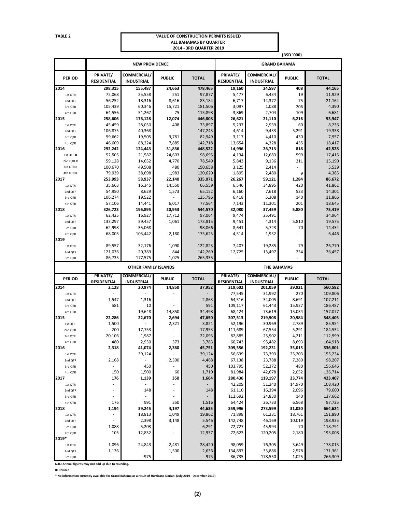#### **TABLE 2 VALUE OF CONSTRUCTION PERMITS ISSUED ALL BAHAMAS BY QUARTER 2014 - 3RD QUARTER 2019**

|                    |                                |                                         |                                 |                   | (BSD '000)                     |                                  |                     |                   |  |
|--------------------|--------------------------------|-----------------------------------------|---------------------------------|-------------------|--------------------------------|----------------------------------|---------------------|-------------------|--|
|                    |                                | <b>NEW PROVIDENCE</b>                   |                                 |                   |                                |                                  | <b>GRAND BAHAMA</b> |                   |  |
| <b>PERIOD</b>      | PRIVATE/<br><b>RESIDENTIAL</b> | <b>COMMERCIAL/</b><br><b>INDUSTRIAL</b> | <b>PUBLIC</b>                   | <b>TOTAL</b>      | PRIVATE/<br><b>RESIDENTIAL</b> | COMMERCIAL/<br><b>INDUSTRIAL</b> | <b>PUBLIC</b>       | <b>TOTAL</b>      |  |
| 2014               | 298.315                        | 155,487                                 | 24,663                          | 478,465           | 19,160                         | 24,597                           | 408                 | 44,165            |  |
| 1st QTR            | 72,068                         | 25,558                                  | 251                             | 97,877            | 5,477                          | 6,434                            | 19                  | 11,929            |  |
| 2nd QTR            | 56,252                         | 18,316                                  | 8,616                           | 83,184            | 6,717                          | 14,372                           | 75                  | 21,164            |  |
| 3rd QTR            | 105,439                        | 60,346                                  | 15,721                          | 181,506           | 3,097                          | 1,088                            | 206                 | 4,390             |  |
| 4th QTR            | 64,556                         | 51,267                                  | 75                              | 115,898           | 3,869                          | 2,704                            | 109                 | 6,681             |  |
| 2015               | 258,606                        | 176,128                                 | 12,074                          | 446,808           | 26,621                         | 21,110                           | 6,216               | 53,947            |  |
| 1st QTR            | 45,459                         | 28,030                                  | 408                             | 73,897            | 5,237                          | 2,939                            | 60                  | 8,236             |  |
| 2nd QTR            | 106,875                        | 40,368                                  | L,                              | 147,243           | 4,614                          | 9,433                            | 5,291               | 19,338            |  |
| 3rd QTR            | 59,662                         | 19,505                                  | 3,781                           | 82,949            | 3,117                          | 4,410                            | 430                 | 7,957             |  |
| 4th QTR            | 46,609                         | 88,224                                  | 7,885                           | 142,718           | 13,654                         | 4,328                            | 435                 | 18,417            |  |
| 2016               | 292,242                        | 124,443                                 | 31,836                          | 448,522           | 14,996                         | 26,713                           | 818                 | 42,528            |  |
| 1st QTR R          | 52,505                         | 21,587                                  | 24,603                          | 98,695            | 4,134                          | 12,683                           | 599                 | 17,415            |  |
| 2nd QTR R          | 59,128                         | 14,652                                  | 4,770                           | 78,549            | 5,843                          | 9,136                            | 211                 | 15,190            |  |
| 3rd QTR R          | 100,670                        | 49,508                                  | 480                             | 150,658           | 3,125                          | 2,414                            |                     | 5,539             |  |
| 4th QTR R          | 79,939                         | 38,698                                  | 1,983                           | 120,620           | 1,895                          | 2,480                            | 9                   | 4,385             |  |
| 2017               | 253,993                        | 58,937                                  | 22,140                          | 335,071           | 26,267                         | 59,121                           | 1,284               | 86,672            |  |
| 1st QTR            | 35,663                         | 16,345                                  | 14,550                          | 66,559            | 6,546                          | 34,895                           | 420                 | 41,861            |  |
| 2nd QTR            | 54,950<br>106,274              | 8,629                                   | 1,573                           | 65,152<br>125,796 | 6,160<br>6,418                 | 7,618<br>5,308                   | 523                 | 14,301            |  |
| 3rd QTR            | 57,106                         | 19,522<br>14,441                        | 6,017                           | 77,564            | 7,143                          | 11,301                           | 140                 | 11,866<br>18,645  |  |
| 4th QTR<br>2018    | 326,723                        | 196,895                                 | 20,953                          | 544,570           | 32,080                         | 37,459                           | 201<br>5,880        | 75,419            |  |
| 1st QTR            | 62,425                         | 16,927                                  | 17,712                          | 97,064            | 9,474                          | 25,491                           |                     | 34,964            |  |
| 2nd QTR            | 133,297                        | 39,457                                  | 1,061                           | 173,815           | 9,451                          | 4,314                            | 5,810               | 19,575            |  |
| 3rd QTR            | 62,998                         | 35,068                                  |                                 | 98,066            | 8,641                          | 5,723                            | 70                  | 14,434            |  |
| 4th QTR            | 68,003                         | 105,442                                 | 2,180                           | 175,625           | 4,514                          | 1,932                            |                     | 6,446             |  |
| 2019               |                                |                                         |                                 |                   |                                |                                  |                     |                   |  |
| 1st QTR            | 89,557                         | 32,176                                  | 1,090                           | 122,823           | 7,407                          | 19,285                           | 79                  | 26,770            |  |
| 2nd QTR            | 121,036                        | 20,389                                  | 844                             | 142,269           | 12,725                         | 13,497                           | 234                 | 26,457            |  |
| 3rd QTR            | 86,735                         | 177,575                                 | 1,025                           | 265,335           |                                |                                  |                     |                   |  |
|                    |                                | <b>OTHER FAMILY ISLANDS</b>             |                                 |                   |                                | <b>THE BAHAMAS</b>               |                     |                   |  |
|                    | PRIVATE/                       | COMMERCIAL/                             |                                 |                   | PRIVATE/                       | <b>COMMERCIAL/</b>               |                     |                   |  |
| <b>PERIOD</b>      |                                |                                         |                                 |                   |                                |                                  |                     |                   |  |
| 2014               | <b>RESIDENTIAL</b>             | <b>INDUSTRIAL</b>                       | <b>PUBLIC</b>                   | <b>TOTAL</b>      | <b>RESIDENTIAL</b>             | <b>INDUSTRIAL</b>                | <b>PUBLIC</b>       | <b>TOTAL</b>      |  |
|                    | 2,128                          | 20,974                                  | 14,850                          | 37,952            | 319,602                        | 201,059                          | 39,921              | 560,582           |  |
| 1st QTR            |                                |                                         |                                 |                   | 77,545                         | 31,992                           | 270                 | 109,806           |  |
| 2nd QTR            | 1,547                          | 1,316                                   |                                 | 2,863             | 64,516                         | 34,005                           | 8,691               | 107,211           |  |
| 3rd QTR            | 581                            | 10                                      |                                 | 591               | 109,117                        | 61,443                           | 15,927              | 186,487           |  |
| 4th QTR            |                                | 19,648                                  | 14,850                          | 34,498            | 68,424                         | 73,619                           | 15,034              | 157,077           |  |
| 2015               | 22,286                         | 22,670                                  | 2,694                           | 47,650            | 307,513                        | 219,908                          | 20,984              | 548,405           |  |
| 1st QTR            | 1,500                          |                                         | 2,321                           | 3,821             | 52,196                         | 30,969                           | 2,789               | 85,954            |  |
| 2nd QTR            | 200                            | 17,753                                  |                                 | 17,953            | 111,689                        | 67,554                           | 5,291               | 184,534           |  |
| 3rd QTR            | 20,106                         | 1,987                                   |                                 | 22,093            | 82,885                         | 25,902                           | 4,211               | 112,999           |  |
| 4th QTR            | 480                            | 2,930                                   | 373                             | 3,783             | 60,743                         | 95,482                           | 8,693               | 164,918           |  |
| 2016               | 2,318                          | 41,074                                  | 2,360                           | 45,751            | 309,556                        | 192,231                          | 35,015              | 536,801           |  |
| 1st QTR            | $\sim$                         | 39,124                                  | ÷.                              | 39,124            | 56,639                         | 73,393                           | 25,203              | 155,234           |  |
| 2nd QTR            | 2,168                          | $\overline{\phantom{a}}$                | 2,300                           | 4,468             | 67,138                         | 23,788                           | 7,280               | 98,207            |  |
| 3rd QTR            | $\overline{\phantom{a}}$       | 450                                     | $\overline{\phantom{a}}$        | 450               | 103,795                        | 52,372                           | 480                 | 156,646           |  |
| 4th QTR            | 150                            | 1,500                                   | 60                              | 1,710             | 81,984                         | 42,678                           | 2,052               | 126,714           |  |
| 2017               | 176<br>ä,                      | 1,139                                   | 350<br>$\overline{\phantom{a}}$ | 1,664             | 280,436                        | 119,197                          | 23,774              | 423,407           |  |
| 1st QTR            |                                |                                         |                                 |                   | 42,209                         | 51,240                           | 14,970              | 108,420           |  |
| 2nd QTR            |                                | 148                                     | $\overline{\phantom{a}}$        | 148               | 61,110                         | 16,394                           | 2,096               | 79,600            |  |
| 3rd QTR<br>4th QTR | 176                            | 991                                     | 350                             |                   | 112,692<br>64,424              | 24,830<br>26,733                 | 140                 | 137,662           |  |
| 2018               | 1,194                          | 39,245                                  | 4,197                           | 1,516<br>44,635   | 359,996                        | 273,599                          | 6,568<br>31,030     | 97,725<br>664,624 |  |
| 1st QTR            | $\overline{\phantom{a}}$       | 18,813                                  | 1,049                           | 19,862            | 71,898                         | 61,231                           | 18,761              | 151,890           |  |
| 2nd QTR            | $\overline{\phantom{a}}$       | 2,398                                   | 3,148                           | 5,546             | 142,748                        | 46,169                           | 10,019              | 198,935           |  |
| 3rd QTR            | 1,088                          | 5,203                                   | $\overline{a}$                  | 6,291             | 72,727                         | 45,994                           | 70                  | 118,791           |  |
| 4th QTR            | 105                            | 12,832                                  | $\overline{\phantom{a}}$        | 12,937            | 72,623                         | 120,205                          | 2,180               | 195,008           |  |
| 2019*              |                                |                                         |                                 |                   |                                |                                  |                     |                   |  |
| 1st QTR            | 1,096                          | 24,843                                  | 2,481                           | 28,420            | 98,059                         | 76,305                           | 3,649               | 178,013           |  |
| 2nd QTR            | 1,136                          |                                         | 1,500                           | 2,636             | 134,897                        | 33,886                           | 2,578               | 171,361           |  |

**N.B.: Annual figures may not add up due to rounding.**

**R: Revised**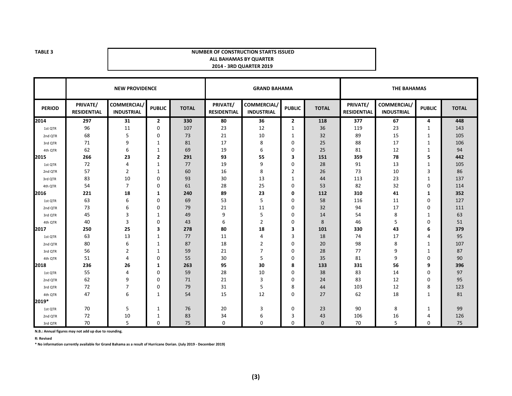#### **TABLE 3 NUMBER OF CONSTRUCTION STARTS ISSUED ALL BAHAMAS BY QUARTER 2014 - 3RD QUARTER 2019**

|               |                                | <b>NEW PROVIDENCE</b>            |                | <b>GRAND BAHAMA</b> |                                |                                        |                | <b>THE BAHAMAS</b> |                                |                                         |               |              |
|---------------|--------------------------------|----------------------------------|----------------|---------------------|--------------------------------|----------------------------------------|----------------|--------------------|--------------------------------|-----------------------------------------|---------------|--------------|
| <b>PERIOD</b> | PRIVATE/<br><b>RESIDENTIAL</b> | COMMERCIAL/<br><b>INDUSTRIAL</b> | <b>PUBLIC</b>  | <b>TOTAL</b>        | PRIVATE/<br><b>RESIDENTIAL</b> | <b>COMMERCIAL</b><br><b>INDUSTRIAL</b> | <b>PUBLIC</b>  | <b>TOTAL</b>       | PRIVATE/<br><b>RESIDENTIAL</b> | <b>COMMERCIAL/</b><br><b>INDUSTRIAL</b> | <b>PUBLIC</b> | <b>TOTAL</b> |
| 2014          | 297                            | 31                               | $\mathbf{2}$   | 330                 | 80                             | 36                                     | $\overline{2}$ | 118                | 377                            | 67                                      | 4             | 448          |
| 1st QTR       | 96                             | 11                               | $\mathbf 0$    | 107                 | 23                             | 12                                     | $\mathbf{1}$   | 36                 | 119                            | 23                                      | 1             | 143          |
| 2nd QTR       | 68                             | 5                                | $\mathbf 0$    | 73                  | 21                             | 10                                     | $\mathbf{1}$   | 32                 | 89                             | 15                                      | 1             | 105          |
| 3rd QTR       | 71                             | 9                                | 1              | 81                  | 17                             | 8                                      | $\mathbf 0$    | 25                 | 88                             | 17                                      | 1             | 106          |
| 4th OTR       | 62                             | 6                                | 1              | 69                  | 19                             | 6                                      | 0              | 25                 | 81                             | 12                                      | $\mathbf{1}$  | 94           |
| 2015          | 266                            | 23                               | $\overline{2}$ | 291                 | 93                             | 55                                     | 3              | 151                | 359                            | 78                                      | 5             | 442          |
| 1st QTR       | 72                             | 4                                | 1              | 77                  | 19                             | 9                                      | $\mathbf 0$    | 28                 | 91                             | 13                                      | 1             | 105          |
| 2nd QTR       | 57                             | $\overline{2}$                   | 1              | 60                  | 16                             | 8                                      | $\overline{2}$ | 26                 | 73                             | 10                                      | 3             | 86           |
| 3rd QTR       | 83                             | 10                               | 0              | 93                  | 30                             | 13                                     | 1              | 44                 | 113                            | 23                                      | 1             | 137          |
| 4th QTR       | 54                             | $\overline{7}$                   | $\mathbf 0$    | 61                  | 28                             | 25                                     | 0              | 53                 | 82                             | 32                                      | 0             | 114          |
| 2016          | 221                            | 18                               | 1              | 240                 | 89                             | 23                                     | 0              | 112                | 310                            | 41                                      | 1             | 352          |
| 1st QTR       | 63                             | 6                                | 0              | 69                  | 53                             | 5                                      | 0              | 58                 | 116                            | 11                                      | 0             | 127          |
| 2nd QTR       | 73                             | 6                                | 0              | 79                  | 21                             | 11                                     | 0              | 32                 | 94                             | 17                                      | 0             | 111          |
| 3rd QTR       | 45                             | 3                                | 1              | 49                  | 9                              | 5                                      | $\mathbf 0$    | 14                 | 54                             | 8                                       | 1             | 63           |
| 4th QTR       | 40                             | 3                                | 0              | 43                  | 6                              | $\overline{2}$                         | 0              | 8                  | 46                             | 5                                       | 0             | 51           |
| 2017          | 250                            | 25                               | 3              | 278                 | 80                             | 18                                     | з              | 101                | 330                            | 43                                      | 6             | 379          |
| 1st QTR       | 63                             | 13                               | 1              | 77                  | 11                             | 4                                      | 3              | 18                 | 74                             | 17                                      | 4             | 95           |
| 2nd QTR       | 80                             | 6                                | 1              | 87                  | 18                             | 2                                      | 0              | 20                 | 98                             | 8                                       | 1             | 107          |
| 3rd QTR       | 56                             | $\overline{2}$                   | 1              | 59                  | 21                             | 7                                      | 0              | 28                 | 77                             | 9                                       | 1             | 87           |
| 4th OTR       | 51                             | 4                                | $\Omega$       | 55                  | 30                             | 5                                      | $\Omega$       | 35                 | 81                             | 9                                       | 0             | 90           |
| 2018          | 236                            | 26                               | 1              | 263                 | 95                             | 30                                     | 8              | 133                | 331                            | 56                                      | 9             | 396          |
| 1st QTR       | 55                             | 4                                | 0              | 59                  | 28                             | 10                                     | $\Omega$       | 38                 | 83                             | 14                                      | 0             | 97           |
| 2nd QTR       | 62                             | 9                                | 0              | 71                  | 21                             | 3                                      | $\Omega$       | 24                 | 83                             | 12                                      | 0             | 95           |
| 3rd QTR       | 72                             | 7                                | 0              | 79                  | 31                             | 5                                      | 8              | 44                 | 103                            | 12                                      | 8             | 123          |
| 4th QTR       | 47                             | 6                                | 1              | 54                  | 15                             | 12                                     | $\Omega$       | 27                 | 62                             | 18                                      | $\mathbf{1}$  | 81           |
| 2019*         |                                |                                  |                |                     |                                |                                        |                |                    |                                |                                         |               |              |
| 1st QTR       | 70                             | 5                                | 1              | 76                  | 20                             | 3                                      | 0              | 23                 | 90                             | 8                                       | 1             | 99           |
| 2nd QTR       | 72                             | 10                               | 1              | 83                  | 34                             | 6                                      | 3              | 43                 | 106                            | 16                                      | 4             | 126          |
| 3rd QTR       | 70                             | 5                                | $\mathbf 0$    | 75                  | $\mathbf 0$                    | $\mathbf 0$                            | $\mathbf 0$    | $\mathbf{0}$       | 70                             | 5                                       | 0             | 75           |

**N.B.: Annual figures may not add up due to rounding.**

**R: Revised**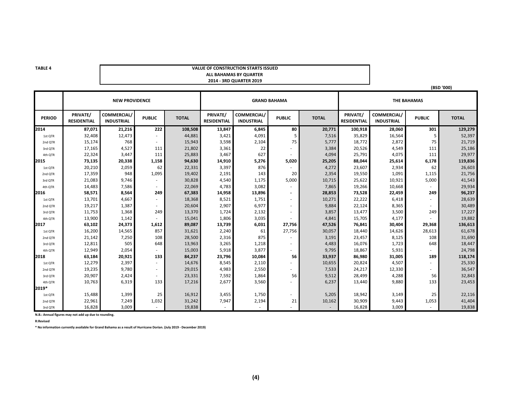#### **VALUE OF CONSTRUCTION STARTS ISSUEDALL BAHAMAS BY QUARTER 2014 - 3RD QUARTER 2019**

**(BSD '000)**

|               |                                | <b>NEW PROVIDENCE</b>            |               |              |                                | <b>GRAND BAHAMA</b>              |                | <b>THE BAHAMAS</b> |                                |                                  |               |              |
|---------------|--------------------------------|----------------------------------|---------------|--------------|--------------------------------|----------------------------------|----------------|--------------------|--------------------------------|----------------------------------|---------------|--------------|
| <b>PERIOD</b> | PRIVATE/<br><b>RESIDENTIAL</b> | COMMERCIAL/<br><b>INDUSTRIAL</b> | <b>PUBLIC</b> | <b>TOTAL</b> | PRIVATE/<br><b>RESIDENTIAL</b> | COMMERCIAL/<br><b>INDUSTRIAL</b> | <b>PUBLIC</b>  | <b>TOTAL</b>       | PRIVATE/<br><b>RESIDENTIAL</b> | COMMERCIAL/<br><b>INDUSTRIAL</b> | <b>PUBLIC</b> | <b>TOTAL</b> |
| 2014          | 87,071                         | 21,216                           | 222           | 108,508      | 13,847                         | 6,845                            | 80             | 20,771             | 100,918                        | 28,060                           | 301           | 129,279      |
| 1st QTR       | 32,408                         | 12,473                           |               | 44,881       | 3,421                          | 4,091                            | 5              | 7,516              | 35,829                         | 16,564                           | 5             | 52,397       |
| 2nd QTR       | 15,174                         | 768                              |               | 15,943       | 3,598                          | 2,104                            | 75             | 5,777              | 18,772                         | 2,872                            | 75            | 21,719       |
| 3rd QTR       | 17,165                         | 4,527                            | 111           | 21,802       | 3,361                          | 22                               |                | 3,384              | 20,526                         | 4,549                            | 111           | 25,186       |
| 4th QTR       | 22,324                         | 3,447                            | 111           | 25,883       | 3,467                          | 627                              |                | 4,094              | 25,791                         | 4,075                            | 111           | 29,977       |
| 2015          | 73,135                         | 20,338                           | 1,158         | 94,630       | 14,910                         | 5,276                            | 5,020          | 25,205             | 88,044                         | 25,614                           | 6,178         | 119,836      |
| 1st QTR       | 20,210                         | 2,059                            | 62            | 22,331       | 3,397                          | 876                              |                | 4,272              | 23,607                         | 2,934                            | 62            | 26,603       |
| 2nd QTR       | 17,359                         | 948                              | 1,095         | 19,402       | 2,191                          | 143                              | 20             | 2,354              | 19,550                         | 1,091                            | 1,115         | 21,756       |
| 3rd QTR       | 21,083                         | 9,746                            |               | 30,828       | 4,540                          | 1,175                            | 5,000          | 10,715             | 25,622                         | 10,921                           | 5,000         | 41,543       |
| 4th QTR       | 14,483                         | 7,586                            |               | 22,069       | 4,783                          | 3,082                            |                | 7,865              | 19,266                         | 10,668                           |               | 29,934       |
| 2016          | 58,571                         | 8,564                            | 249           | 67,383       | 14,958                         | 13,896                           | $\blacksquare$ | 28,853             | 73,528                         | 22,459                           | 249           | 96,237       |
| 1st QTR       | 13,701                         | 4,667                            |               | 18,368       | 8,521                          | 1,751                            | $\sim$         | 10,271             | 22,222                         | 6,418                            |               | 28,639       |
| 2nd QTR       | 19,217                         | 1,387                            |               | 20,604       | 2,907                          | 6,977                            | $\sim$         | 9,884              | 22,124                         | 8,365                            |               | 30,489       |
| 3rd QTR       | 11,753                         | 1,368                            | 249           | 13,370       | 1,724                          | 2,132                            |                | 3,857              | 13,477                         | 3,500                            | 249           | 17,227       |
| 4th QTR       | 13,900                         | 1,142                            |               | 15,041       | 1,806                          | 3,035                            |                | 4,841              | 15,705                         | 4,177                            |               | 19,882       |
| 2017          | 63,102                         | 24,373                           | 1,612         | 89,087       | 13,739                         | 6,031                            | 27,756         | 47,526             | 76,841                         | 30,404                           | 29,368        | 136,613      |
| 1st QTR       | 16,200                         | 14,565                           | 857           | 31,621       | 2,240                          | 61                               | 27,756         | 30,057             | 18,440                         | 14,626                           | 28,613        | 61,678       |
| 2nd QTR       | 21,142                         | 7,250                            | 108           | 28,500       | 2,316                          | 875                              |                | 3,191              | 23,457                         | 8,125                            | 108           | 31,690       |
| 3rd QTR       | 12,811                         | 505                              | 648           | 13,963       | 3,265                          | 1,218                            | $\sim$         | 4,483              | 16,076                         | 1,723                            | 648           | 18,447       |
| 4th QTR       | 12,949                         | 2,054                            |               | 15,003       | 5,918                          | 3,877                            |                | 9,795              | 18,867                         | 5,931                            |               | 24,798       |
| 2018          | 63,184                         | 20,921                           | 133           | 84,237       | 23,796                         | 10,084                           | 56             | 33,937             | 86,980                         | 31,005                           | 189           | 118,174      |
| 1st QTR       | 12,279                         | 2,397                            | $\sim$        | 14,676       | 8,545                          | 2,110                            |                | 10,655             | 20,824                         | 4,507                            |               | 25,330       |
| 2nd QTR       | 19,235                         | 9,780                            | $\sim$        | 29,015       | 4,983                          | 2,550                            |                | 7,533              | 24,217                         | 12,330                           |               | 36,547       |
| 3rd QTR       | 20,907                         | 2,424                            |               | 23,331       | 7,592                          | 1,864                            | 56             | 9,512              | 28,499                         | 4,288                            | 56            | 32,843       |
| 4th QTR       | 10,763                         | 6,319                            | 133           | 17,216       | 2,677                          | 3,560                            |                | 6,237              | 13,440                         | 9,880                            | 133           | 23,453       |
| 2019*         |                                |                                  |               |              |                                |                                  |                |                    |                                |                                  |               |              |
| 1st QTR       | 15,488                         | 1,399                            | 25            | 16,912       | 3,455                          | 1,750                            |                | 5,205              | 18,942                         | 3,149                            | 25            | 22,116       |
| 2nd QTR       | 22,961                         | 7,249                            | 1,032         | 31,242       | 7,947                          | 2,194                            | 21             | 10,162             | 30,909                         | 9,443                            | 1,053         | 41,404       |
| 3rd QTR       | 16,828                         | 3,009                            |               | 19,838       |                                |                                  |                |                    | 16,828                         | 3,009                            |               | 19,838       |

**N.B.: Annual figures may not add up due to rounding.**

**R:Revised**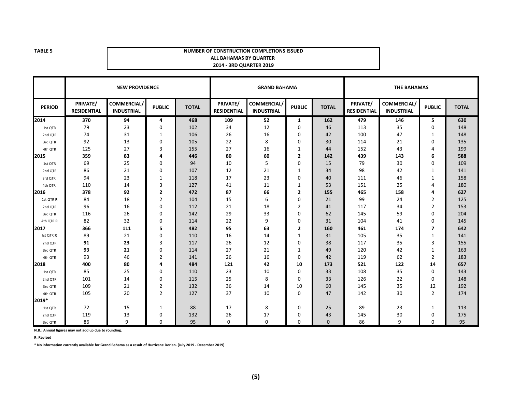#### **NUMBER OF CONSTRUCTION COMPLETIONS ISSUEDALL BAHAMAS BY QUARTER 2014 - 3RD QUARTER 2019**

|               |                                | <b>NEW PROVIDENCE</b>                  |                | <b>GRAND BAHAMA</b> |                                |                                         |                | <b>THE BAHAMAS</b> |                                |                                         |                |              |
|---------------|--------------------------------|----------------------------------------|----------------|---------------------|--------------------------------|-----------------------------------------|----------------|--------------------|--------------------------------|-----------------------------------------|----------------|--------------|
| <b>PERIOD</b> | PRIVATE/<br><b>RESIDENTIAL</b> | <b>COMMERCIAL</b><br><b>INDUSTRIAL</b> | <b>PUBLIC</b>  | <b>TOTAL</b>        | PRIVATE/<br><b>RESIDENTIAL</b> | <b>COMMERCIAL/</b><br><b>INDUSTRIAL</b> | <b>PUBLIC</b>  | <b>TOTAL</b>       | PRIVATE/<br><b>RESIDENTIAL</b> | <b>COMMERCIAL/</b><br><b>INDUSTRIAL</b> | <b>PUBLIC</b>  | <b>TOTAL</b> |
| 2014          | 370                            | 94                                     | 4              | 468                 | 109                            | 52                                      | $\mathbf{1}$   | 162                | 479                            | 146                                     | 5              | 630          |
| 1st QTR       | 79                             | 23                                     | 0              | 102                 | 34                             | 12                                      | $\mathbf 0$    | 46                 | 113                            | 35                                      | 0              | 148          |
| 2nd QTR       | 74                             | 31                                     | 1              | 106                 | 26                             | 16                                      | 0              | 42                 | 100                            | 47                                      | $\mathbf{1}$   | 148          |
| 3rd QTR       | 92                             | 13                                     | $\mathbf 0$    | 105                 | 22                             | 8                                       | $\Omega$       | 30                 | 114                            | 21                                      | 0              | 135          |
| 4th QTR       | 125                            | 27                                     | 3              | 155                 | 27                             | 16                                      | 1              | 44                 | 152                            | 43                                      | 4              | 199          |
| 2015          | 359                            | 83                                     | 4              | 446                 | 80                             | 60                                      | 2              | 142                | 439                            | 143                                     | 6              | 588          |
| 1st QTR       | 69                             | 25                                     | $\mathbf 0$    | 94                  | 10                             | 5                                       | 0              | 15                 | 79                             | 30                                      | $\Omega$       | 109          |
| 2nd QTR       | 86                             | 21                                     | 0              | 107                 | 12                             | 21                                      | 1              | 34                 | 98                             | 42                                      | $\mathbf{1}$   | 141          |
| 3rd QTR       | 94                             | 23                                     | 1              | 118                 | 17                             | 23                                      | $\Omega$       | 40                 | 111                            | 46                                      | $\mathbf{1}$   | 158          |
| 4th QTR       | 110                            | 14                                     | 3              | 127                 | 41                             | 11                                      | 1              | 53                 | 151                            | 25                                      | 4              | 180          |
| 2016          | 378                            | 92                                     | $\overline{2}$ | 472                 | 87                             | 66                                      | $\overline{2}$ | 155                | 465                            | 158                                     | Δ              | 627          |
| 1st QTR R     | 84                             | 18                                     | $\overline{2}$ | 104                 | 15                             | 6                                       | 0              | 21                 | 99                             | 24                                      | $\overline{2}$ | 125          |
| 2nd QTR       | 96                             | 16                                     | $\mathbf 0$    | 112                 | 21                             | 18                                      | $\overline{2}$ | 41                 | 117                            | 34                                      | 2              | 153          |
| 3rd QTR       | 116                            | 26                                     | $\mathbf 0$    | 142                 | 29                             | 33                                      | $\Omega$       | 62                 | 145                            | 59                                      | $\Omega$       | 204          |
| 4th QTR R     | 82                             | 32                                     | 0              | 114                 | 22                             | 9                                       | $\Omega$       | 31                 | 104                            | 41                                      | 0              | 145          |
| 2017          | 366                            | 111                                    | 5              | 482                 | 95                             | 63                                      | $\overline{2}$ | 160                | 461                            | 174                                     | 7              | 642          |
| Ist QTR R     | 89                             | 21                                     | $\mathbf 0$    | 110                 | 16                             | 14                                      | 1              | 31                 | 105                            | 35                                      | $\mathbf{1}$   | 141          |
| 2nd QTR       | 91                             | 23                                     | 3              | 117                 | 26                             | 12                                      | 0              | 38                 | 117                            | 35                                      | 3              | 155          |
| 3rd QTR       | 93                             | 21                                     | $\mathbf 0$    | 114                 | 27                             | 21                                      | 1              | 49                 | 120                            | 42                                      | 1              | 163          |
| 4th QTR       | 93                             | 46                                     | $\overline{2}$ | 141                 | 26                             | 16                                      | $\Omega$       | 42                 | 119                            | 62                                      | $\overline{2}$ | 183          |
| 2018          | 400                            | 80                                     | 4              | 484                 | 121                            | 42                                      | 10             | 173                | 521                            | 122                                     | 14             | 657          |
| 1st QTR       | 85                             | 25                                     | $\mathbf 0$    | 110                 | 23                             | 10                                      | $\Omega$       | 33                 | 108                            | 35                                      | 0              | 143          |
| 2nd QTR       | 101                            | 14                                     | $\mathbf 0$    | 115                 | 25                             | 8                                       | $\Omega$       | 33                 | 126                            | 22                                      | $\Omega$       | 148          |
| 3rd QTR       | 109                            | 21                                     | $\overline{2}$ | 132                 | 36                             | 14                                      | 10             | 60                 | 145                            | 35                                      | 12             | 192          |
| 4th QTR       | 105                            | 20                                     | $\overline{2}$ | 127                 | 37                             | 10                                      | $\Omega$       | 47                 | 142                            | 30                                      | $\overline{2}$ | 174          |
| 2019*         |                                |                                        |                |                     |                                |                                         |                |                    |                                |                                         |                |              |
| 1st OTR       | 72                             | 15                                     | 1              | 88                  | 17                             | 8                                       | $\Omega$       | 25                 | 89                             | 23                                      | 1              | 113          |
| 2nd QTR       | 119                            | 13                                     | 0              | 132                 | 26                             | 17                                      | 0              | 43                 | 145                            | 30                                      | 0              | 175          |
| 3rd OTR       | 86                             | 9                                      | $\mathbf 0$    | 95                  | 0                              | $\mathbf{0}$                            | $\mathbf 0$    | $\mathbf{0}$       | 86                             | 9                                       | 0              | 95           |

**N.B.: Annual figures may not add up due to rounding.**

**R: Revised**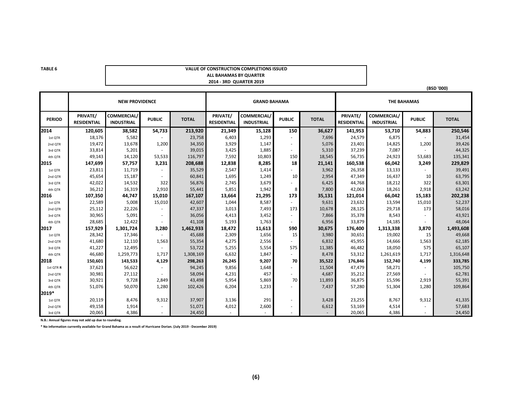#### **VALUE OF CONSTRUCTION COMPLETIONS ISSUEDALL BAHAMAS BY QUARTER 2014 - 3RD QUARTER 2019**

**(BSD '000)**

|               |                                | <b>NEW PROVIDENCE</b>            |               | <b>GRAND BAHAMA</b> |                                |                                  |               | <b>THE BAHAMAS</b> |                                |                                  |               |              |
|---------------|--------------------------------|----------------------------------|---------------|---------------------|--------------------------------|----------------------------------|---------------|--------------------|--------------------------------|----------------------------------|---------------|--------------|
| <b>PERIOD</b> | PRIVATE/<br><b>RESIDENTIAL</b> | COMMERCIAL/<br><b>INDUSTRIAL</b> | <b>PUBLIC</b> | <b>TOTAL</b>        | PRIVATE/<br><b>RESIDENTIAL</b> | COMMERCIAL/<br><b>INDUSTRIAL</b> | <b>PUBLIC</b> | <b>TOTAL</b>       | PRIVATE/<br><b>RESIDENTIAL</b> | COMMERCIAL/<br><b>INDUSTRIAL</b> | <b>PUBLIC</b> | <b>TOTAL</b> |
| 2014          | 120,605                        | 38,582                           | 54,733        | 213,920             | 21,349                         | 15,128                           | 150           | 36,627             | 141,953                        | 53,710                           | 54,883        | 250,546      |
| 1st QTR       | 18,176                         | 5,582                            |               | 23,758              | 6,403                          | 1,293                            |               | 7,696              | 24,579                         | 6,875                            |               | 31,454       |
| 2nd QTR       | 19,472                         | 13,678                           | 1,200         | 34,350              | 3,929                          | 1,147                            |               | 5,076              | 23,401                         | 14,825                           | 1,200         | 39,426       |
| 3rd QTR       | 33,814                         | 5,201                            |               | 39,015              | 3,425                          | 1,885                            |               | 5,310              | 37,239                         | 7,087                            |               | 44,325       |
| 4th QTR       | 49,143                         | 14,120                           | 53,533        | 116,797             | 7,592                          | 10,803                           | 150           | 18,545             | 56,735                         | 24,923                           | 53,683        | 135,341      |
| 2015          | 147,699                        | 57,757                           | 3,231         | 208,688             | 12,838                         | 8,285                            | 18            | 21,141             | 160,538                        | 66,042                           | 3,249         | 229,829      |
| 1st OTR       | 23,811                         | 11,719                           | $\sim$        | 35,529              | 2,547                          | 1,414                            |               | 3,962              | 26,358                         | 13,133                           |               | 39,491       |
| 2nd QTR       | 45,654                         | 15,187                           | $\sim$        | 60,841              | 1,695                          | 1,249                            | 10            | 2,954              | 47,349                         | 16,437                           | 10            | 63,795       |
| 3rd QTR       | 42,022                         | 14,532                           | 322           | 56,876              | 2,745                          | 3,679                            |               | 6,425              | 44,768                         | 18,212                           | 322           | 63,301       |
| 4th QTR       | 36,212                         | 16,319                           | 2,910         | 55,441              | 5,851                          | 1,942                            | 8             | 7,800              | 42,063                         | 18,261                           | 2,918         | 63,242       |
| 2016          | 107,350                        | 44,747                           | 15,010        | 167,107             | 13,664                         | 21,295                           | 173           | 35,131             | 121,014                        | 66,042                           | 15,183        | 202,238      |
| 1st QTR       | 22,589                         | 5,008                            | 15,010        | 42,607              | 1,044                          | 8,587                            |               | 9,631              | 23,632                         | 13,594                           | 15,010        | 52,237       |
| 2nd QTR       | 25,112                         | 22,226                           | $\sim$        | 47,337              | 3,013                          | 7,493                            | 173           | 10,678             | 28,125                         | 29,718                           | 173           | 58,016       |
| 3rd QTR       | 30,965                         | 5,091                            | $\sim$        | 36,056              | 4,413                          | 3,452                            |               | 7,866              | 35,378                         | 8,543                            |               | 43,921       |
| 4th QTR       | 28,685                         | 12,422                           |               | 41,108              | 5,193                          | 1,763                            |               | 6,956              | 33,879                         | 14,185                           |               | 48,064       |
| 2017          | 157,929                        | 1,301,724                        | 3,280         | 1,462,933           | 18,472                         | 11,613                           | 590           | 30,675             | 176,400                        | 1,313,338                        | 3,870         | 1,493,608    |
| 1st QTR       | 28,342                         | 17,346                           |               | 45,688              | 2,309                          | 1,656                            | 15            | 3,980              | 30,651                         | 19,002                           | 15            | 49,668       |
| 2nd QTR       | 41,680                         | 12,110                           | 1,563         | 55,354              | 4,275                          | 2,556                            |               | 6,832              | 45,955                         | 14,666                           | 1,563         | 62,185       |
| 3rd QTR       | 41,227                         | 12,495                           | $\sim$        | 53,722              | 5,255                          | 5,554                            | 575           | 11,385             | 46,482                         | 18,050                           | 575           | 65,107       |
| 4th QTR       | 46,680                         | 1,259,773                        | 1,717         | 1,308,169           | 6,632                          | 1,847                            |               | 8,478              | 53,312                         | 1,261,619                        | 1,717         | 1,316,648    |
| 2018          | 150,601                        | 143,533                          | 4,129         | 298,263             | 26,245                         | 9,207                            | 70            | 35,522             | 176,846                        | 152,740                          | 4,199         | 333,785      |
| 1st QTR R     | 37,623                         | 56,622                           | $\sim$        | 94,245              | 9,856                          | 1,648                            |               | 11,504             | 47,479                         | 58,271                           |               | 105,750      |
| 2nd QTR       | 30,981                         | 27,112                           | $\sim$        | 58,094              | 4,231                          | 457                              | $\sim$        | 4,687              | 35,212                         | 27,569                           |               | 62,781       |
| 3rd QTR       | 30,921                         | 9,728                            | 2,849         | 43,498              | 5,954                          | 5,869                            | 70            | 11,893             | 36,875                         | 15,596                           | 2,919         | 55,391       |
| 4th QTR       | 51,076                         | 50,070                           | 1,280         | 102,426             | 6,204                          | 1,233                            |               | 7,437              | 57,280                         | 51,304                           | 1,280         | 109,864      |
| 2019*         |                                |                                  |               |                     |                                |                                  |               |                    |                                |                                  |               |              |
| 1st QTR       | 20,119                         | 8,476                            | 9,312         | 37,907              | 3,136                          | 291                              |               | 3,428              | 23,255                         | 8,767                            | 9,312         | 41,335       |
| 2nd QTR       | 49,158                         | 1,914                            | ٠             | 51,071              | 4,012                          | 2,600                            |               | 6,612              | 53,169                         | 4,514                            |               | 57,683       |
| 3rd QTR       | 20,065                         | 4,386                            |               | 24,450              |                                |                                  |               |                    | 20,065                         | 4,386                            |               | 24,450       |

**N.B.: Annual figures may not add up due to rounding.**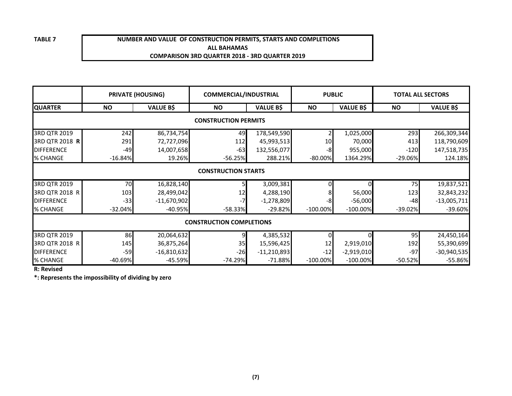## **NUMBER AND VALUE OF CONSTRUCTION PERMITS, STARTS AND COMPLETIONSALL BAHAMASCOMPARISON 3RD QUARTER 2018 - 3RD QUARTER 2019**

| <b>PRIVATE (HOUSING)</b>    |                            |                  | <b>COMMERCIAL/INDUSTRIAL</b>    |                  | <b>PUBLIC</b> |                  | <b>TOTAL ALL SECTORS</b> |                  |  |  |  |
|-----------------------------|----------------------------|------------------|---------------------------------|------------------|---------------|------------------|--------------------------|------------------|--|--|--|
| <b>QUARTER</b>              | <b>NO</b>                  | <b>VALUE B\$</b> | <b>NO</b>                       | <b>VALUE B\$</b> | <b>NO</b>     | <b>VALUE B\$</b> | <b>NO</b>                | <b>VALUE B\$</b> |  |  |  |
| <b>CONSTRUCTION PERMITS</b> |                            |                  |                                 |                  |               |                  |                          |                  |  |  |  |
| 3RD QTR 2019                | 242                        | 86,734,754       | 49                              | 178,549,590      |               | 1,025,000        | 293                      | 266,309,344      |  |  |  |
| 3RD QTR 2018 R              | 291                        | 72,727,096       | 112                             | 45,993,513       | 10            | 70,000           | 413                      | 118,790,609      |  |  |  |
| <b>DIFFERENCE</b>           | $-49$                      | 14,007,658       | $-63$                           | 132,556,077      | -8            | 955,000          | $-120$                   | 147,518,735      |  |  |  |
| % CHANGE                    | $-16.84%$                  | 19.26%           | $-56.25%$                       | 288.21%          | $-80.00\%$    | 1364.29%         | $-29.06%$                | 124.18%          |  |  |  |
|                             | <b>CONSTRUCTION STARTS</b> |                  |                                 |                  |               |                  |                          |                  |  |  |  |
| 3RD QTR 2019                | 70                         | 16,828,140       |                                 | 3,009,381        |               | ΩI               | 75                       | 19,837,521       |  |  |  |
| 3RD QTR 2018 R              | 103                        | 28,499,042       | 12                              | 4,288,190        |               | 56,000           | 123                      | 32,843,232       |  |  |  |
| <b>DIFFERENCE</b>           | $-33$                      | $-11,670,902$    |                                 | $-1,278,809$     | -8            | $-56,000$        | $-48$                    | $-13,005,711$    |  |  |  |
| % CHANGE                    | $-32.04%$                  | $-40.95%$        | $-58.33%$                       | $-29.82%$        | $-100.00\%$   | $-100.00\%$      | $-39.02%$                | $-39.60\%$       |  |  |  |
|                             |                            |                  | <b>CONSTRUCTION COMPLETIONS</b> |                  |               |                  |                          |                  |  |  |  |
| 3RD QTR 2019                | 86                         | 20,064,632       | 9                               | 4,385,532        |               |                  | 95                       | 24,450,164       |  |  |  |
| 3RD QTR 2018 R              | 145                        | 36,875,264       | 35                              | 15,596,425       | 12            | 2,919,010        | 192                      | 55,390,699       |  |  |  |
| <b>DIFFERENCE</b>           | $-59$                      | $-16,810,632$    | $-26$                           | $-11,210,893$    | $-12$         | $-2,919,010$     | $-97$                    | $-30,940,535$    |  |  |  |
| % CHANGE                    | $-40.69%$                  | $-45.59%$        | $-74.29%$                       | $-71.88%$        | $-100.00\%$   | $-100.00\%$      | $-50.52%$                | $-55.86\%$       |  |  |  |

**R: Revised**

**\*: Represents the impossibility of dividing by zero**